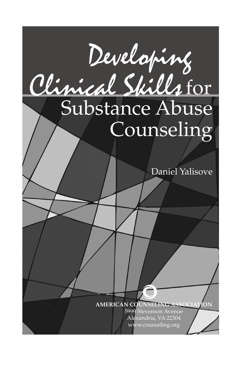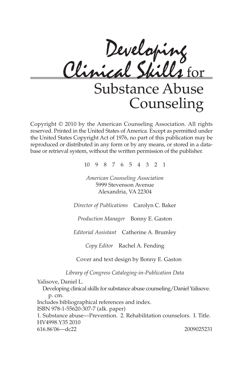Developing Clinical Skills for

## Substance Abuse Counseling

Copyright © 2010 by the American Counseling Association. All rights reserved. Printed in the United States of America. Except as permitted under the United States Copyright Act of 1976, no part of this publication may be reproduced or distributed in any form or by any means, or stored in a database or retrieval system, without the written permission of the publisher.

10 9 8 7 6 5 4 3 2 1

*American Counseling Association* 5999 Stevenson Avenue Alexandria, VA 22304

*Director of Publications* Carolyn C. Baker

*Production Manager* Bonny E. Gaston

*Editorial Assistant* Catherine A. Brumley

*Copy Editor* Rachel A. Fending

Cover and text design by Bonny E. Gaston

*Library of Congress Cataloging-in-Publication Data*

Yalisove, Daniel L.

Developing clinical skills for substance abuse counseling/Daniel Yalisove. p. cm.

Includes bibliographical references and index.

ISBN 978-1-55620-307-7 (alk. paper)

1. Substance abuse—Prevention. 2. Rehabilitation counselors. I. Title. HV4998.Y35 2010 616.86'06—dc22 2009025231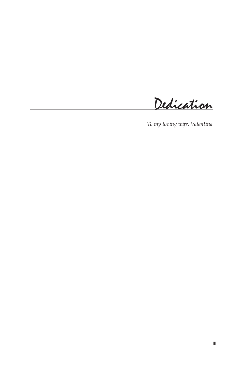Dedication

*To my loving wife, Valentina*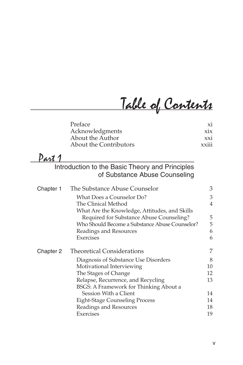Table of Contents

| <b>Preface</b>         | X1                |
|------------------------|-------------------|
| Acknowledgments        | X1X               |
| About the Author       | xxi               |
| About the Contributors | $\cdots$<br>XX111 |

Part 1

## Introduction to the Basic Theory and Principles of Substance Abuse Counseling

| Chapter 1 | The Substance Abuse Counselor                  | 3  |
|-----------|------------------------------------------------|----|
|           | What Does a Counselor Do?                      | 3  |
|           | The Clinical Method                            | 4  |
|           | What Are the Knowledge, Attitudes, and Skills  |    |
|           | Required for Substance Abuse Counseling?       | 5  |
|           | Who Should Become a Substance Abuse Counselor? | 5  |
|           | Readings and Resources                         | 6  |
|           | Exercises                                      | 6  |
| Chapter 2 | <b>Theoretical Considerations</b>              | 7  |
|           | Diagnosis of Substance Use Disorders           | 8  |
|           | Motivational Interviewing                      | 10 |
|           | The Stages of Change                           | 12 |
|           | Relapse, Recurrence, and Recycling             | 13 |
|           | BSGS: A Framework for Thinking About a         |    |
|           | Session With a Client                          | 14 |
|           | <b>Eight-Stage Counseling Process</b>          | 14 |
|           | Readings and Resources                         | 18 |
|           | Exercises                                      | 19 |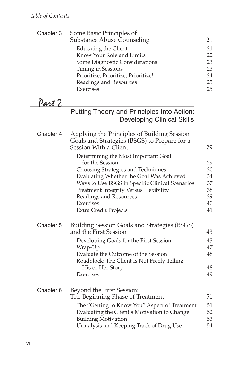#### *Table of Contents*

|        | Chapter 3 Some Basic Principles of  |    |
|--------|-------------------------------------|----|
|        | <b>Substance Abuse Counseling</b>   | 21 |
|        | <b>Educating the Client</b>         | 21 |
|        | Know Your Role and Limits           | 22 |
|        | Some Diagnostic Considerations      | 23 |
|        | <b>Timing in Sessions</b>           | 23 |
|        | Prioritize, Prioritize, Prioritize! | 24 |
|        | Readings and Resources              | 25 |
|        | Exercises                           | 25 |
| Part Z |                                     |    |

## Putting Theory and Principles Into Action: Developing Clinical Skills

| Chapter 4 | Applying the Principles of Building Session<br>Goals and Strategies (BSGS) to Prepare for a |          |
|-----------|---------------------------------------------------------------------------------------------|----------|
|           | Session With a Client                                                                       | 29       |
|           | Determining the Most Important Goal                                                         |          |
|           | for the Session                                                                             | 29       |
|           | Choosing Strategies and Techniques                                                          | 30       |
|           | Evaluating Whether the Goal Was Achieved                                                    | 34       |
|           | Ways to Use BSGS in Specific Clinical Scenarios                                             | 37       |
|           | <b>Treatment Integrity Versus Flexibility</b>                                               | 38       |
|           | Readings and Resources                                                                      | 39       |
|           | Exercises                                                                                   | 40       |
|           | <b>Extra Credit Projects</b>                                                                | 41       |
| Chapter 5 | Building Session Goals and Strategies (BSGS)                                                |          |
|           | and the First Session                                                                       | 43       |
|           | Developing Goals for the First Session                                                      | 43       |
|           | Wrap-Up                                                                                     | 47       |
|           | Evaluate the Outcome of the Session                                                         | 48       |
|           | Roadblock: The Client Is Not Freely Telling                                                 |          |
|           | His or Her Story                                                                            | 48       |
|           | Exercises                                                                                   | 49       |
|           |                                                                                             |          |
| Chapter 6 | Beyond the First Session:<br>The Beginning Phase of Treatment                               | 51       |
|           |                                                                                             |          |
|           | The "Getting to Know You" Aspect of Treatment                                               | 51       |
|           | Evaluating the Client's Motivation to Change                                                | 52       |
|           | <b>Building Motivation</b>                                                                  | 53<br>54 |
|           | Urinalysis and Keeping Track of Drug Use                                                    |          |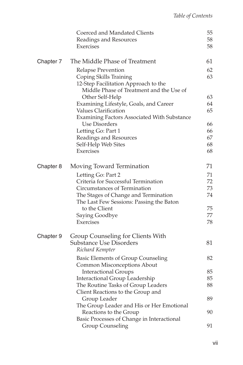|           | Coerced and Mandated Clients<br>Readings and Resources<br>Exercises              | 55<br>58<br>58 |
|-----------|----------------------------------------------------------------------------------|----------------|
| Chapter 7 | The Middle Phase of Treatment                                                    | 61             |
|           | Relapse Prevention                                                               | 62             |
|           | Coping Skills Training                                                           | 63             |
|           | 12-Step Facilitation Approach to the<br>Middle Phase of Treatment and the Use of |                |
|           | Other Self-Help                                                                  | 63             |
|           | Examining Lifestyle, Goals, and Career                                           | 64             |
|           | <b>Values Clarification</b>                                                      | 65             |
|           | <b>Examining Factors Associated With Substance</b>                               |                |
|           | Use Disorders                                                                    | 66             |
|           | Letting Go: Part 1                                                               | 66             |
|           | Readings and Resources                                                           | 67             |
|           | Self-Help Web Sites                                                              | 68             |
|           | Exercises                                                                        | 68             |
| Chapter 8 | Moving Toward Termination                                                        | 71             |
|           | Letting Go: Part 2                                                               | 71             |
|           | Criteria for Successful Termination                                              | 72             |
|           | Circumstances of Termination                                                     | 73             |
|           | The Stages of Change and Termination                                             | 74             |
|           | The Last Few Sessions: Passing the Baton                                         |                |
|           | to the Client                                                                    | 75<br>77       |
|           | Saying Goodbye<br>Exercises                                                      | 78             |
|           |                                                                                  |                |
| Chapter 9 | Group Counseling for Clients With                                                |                |
|           | Substance Use Disorders                                                          | 81             |
|           | Richard Kempter                                                                  |                |
|           | <b>Basic Elements of Group Counseling</b><br><b>Common Misconceptions About</b>  | 82             |
|           | <b>Interactional Groups</b>                                                      | 85             |
|           | <b>Interactional Group Leadership</b>                                            | 85             |
|           | The Routine Tasks of Group Leaders                                               | 88             |
|           | Client Reactions to the Group and                                                |                |
|           | Group Leader                                                                     | 89             |
|           | The Group Leader and His or Her Emotional                                        |                |
|           | Reactions to the Group                                                           | 90             |
|           | Basic Processes of Change in Interactional                                       |                |
|           | <b>Group Counseling</b>                                                          | 91             |
|           |                                                                                  |                |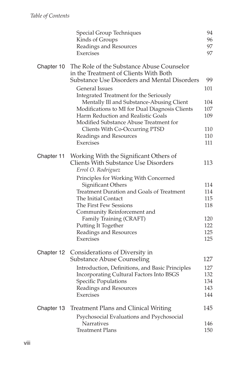|            | Special Group Techniques<br>Kinds of Groups                                                                                        | 94<br>96 |
|------------|------------------------------------------------------------------------------------------------------------------------------------|----------|
|            | Readings and Resources                                                                                                             | 97       |
|            | Exercises                                                                                                                          | 97       |
| Chapter 10 | The Role of the Substance Abuse Counselor<br>in the Treatment of Clients With Both<br>Substance Use Disorders and Mental Disorders | 99       |
|            | <b>General Issues</b>                                                                                                              | 101      |
|            | Integrated Treatment for the Seriously                                                                                             |          |
|            | Mentally Ill and Substance-Abusing Client                                                                                          | 104      |
|            | Modifications to MI for Dual Diagnosis Clients                                                                                     | 107      |
|            | Harm Reduction and Realistic Goals                                                                                                 | 109      |
|            | Modified Substance Abuse Treatment for                                                                                             |          |
|            | Clients With Co-Occurring PTSD                                                                                                     | 110      |
|            | Readings and Resources                                                                                                             | 110      |
|            | Exercises                                                                                                                          | 111      |
| Chapter 11 | Working With the Significant Others of<br><b>Clients With Substance Use Disorders</b>                                              | 113      |
|            | Errol O. Rodriguez                                                                                                                 |          |
|            | Principles for Working With Concerned                                                                                              |          |
|            | <b>Significant Others</b>                                                                                                          | 114      |
|            | Treatment Duration and Goals of Treatment                                                                                          | 114      |
|            | The Initial Contact                                                                                                                | 115      |
|            | The First Few Sessions                                                                                                             | 118      |
|            | Community Reinforcement and                                                                                                        |          |
|            | Family Training (CRAFT)                                                                                                            | 120      |
|            | Putting It Together                                                                                                                | 122      |
|            | Readings and Resources                                                                                                             | 125      |
|            | Exercises                                                                                                                          | 125      |
| Chapter 12 | Considerations of Diversity in                                                                                                     |          |
|            | <b>Substance Abuse Counseling</b>                                                                                                  | 127      |
|            | Introduction, Definitions, and Basic Principles                                                                                    | 127      |
|            | <b>Incorporating Cultural Factors Into BSGS</b>                                                                                    | 132      |
|            | Specific Populations                                                                                                               | 134      |
|            | Readings and Resources                                                                                                             | 143      |
|            | Exercises                                                                                                                          | 144      |
| Chapter 13 | <b>Treatment Plans and Clinical Writing</b>                                                                                        | 145      |
|            | Psychosocial Evaluations and Psychosocial                                                                                          |          |
|            | <b>Narratives</b>                                                                                                                  | 146      |
|            | <b>Treatment Plans</b>                                                                                                             | 150      |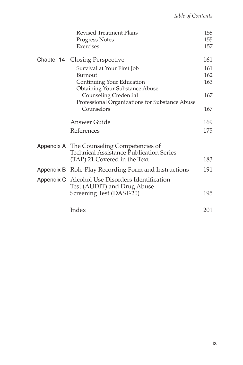| Progress Notes                                                                              | 155<br>157 |
|---------------------------------------------------------------------------------------------|------------|
| Exercises                                                                                   |            |
| Chapter 14 Closing Perspective                                                              | 161        |
| Survival at Your First Job                                                                  | 161        |
| Burnout                                                                                     | 162        |
| Continuing Your Education                                                                   | 163        |
| <b>Obtaining Your Substance Abuse</b>                                                       |            |
| <b>Counseling Credential</b>                                                                | 167        |
| Professional Organizations for Substance Abuse                                              |            |
| Counselors                                                                                  | 167        |
| <b>Answer Guide</b>                                                                         | 169        |
|                                                                                             |            |
| References                                                                                  | 175        |
| Appendix A The Counseling Competencies of<br><b>Technical Assistance Publication Series</b> |            |
| (TAP) 21 Covered in the Text                                                                | 183        |
| Appendix B Role-Play Recording Form and Instructions                                        | 191        |
| Appendix C Alcohol Use Disorders Identification<br>Test (AUDIT) and Drug Abuse              |            |
| Screening Test (DAST-20)                                                                    | 195        |
| Index                                                                                       | 201        |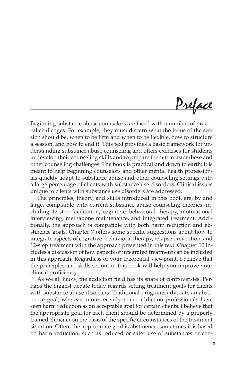Preface

Beginning substance abuse counselors are faced with a number of practical challenges. For example, they must discern what the focus of the session should be, when to be firm and when to be flexible, how to structure a session, and how to end it. This text provides a basic framework for understanding substance abuse counseling and offers exercises for students to develop their counseling skills and to prepare them to master these and other counseling challenges. The book is practical and down to earth; it is meant to help beginning counselors and other mental health professionals quickly adapt to substance abuse and other counseling settings with a large percentage of clients with substance use disorders. Clinical issues unique to clients with substance use disorders are addressed.

The principles, theory, and skills introduced in this book are, by and large, compatible with current substance abuse counseling theories, including 12-step facilitation, cognitive−behavioral therapy, motivational interviewing, methadone maintenance, and integrated treatment. Additionally, the approach is compatible with both harm reduction and abstinence goals. Chapter 7 offers some specific suggestions about how to integrate aspects of cognitive−behavioral therapy, relapse prevention, and 12-step treatment with the approach presented in this text. Chapter 10 includes a discussion of how aspects of integrated treatment can be included in this approach. Regardless of your theoretical viewpoint, I believe that the principles and skills set out in this book will help you improve your clinical proficiency.

As we all know, the addiction field has its share of controversies. Perhaps the biggest debate today regards setting treatment goals for clients with substance abuse disorders. Traditional programs advocate an abstinence goal, whereas, more recently, some addiction professionals have seen harm reduction as an acceptable goal for certain clients. I believe that the appropriate goal for each client should be determined by a properly trained clinician on the basis of the specific circumstances of the treatment situation. Often, the appropriate goal is abstinence; sometimes it is based on harm reduction, such as reduced or safer use of substances or con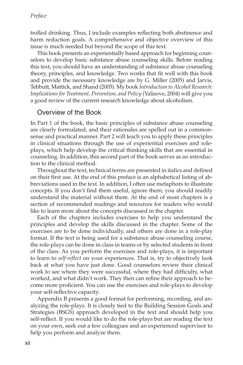trolled drinking. Thus, I include examples reflecting both abstinence and harm reduction goals. A comprehensive and objective overview of this issue is much needed but beyond the scope of this text.

This book presents an experientially based approach for beginning counselors to develop basic substance abuse counseling skills. Before reading this text, you should have an understanding of substance abuse counseling theory, principles, and knowledge. Two works that fit well with this book and provide the necessary knowledge are by G. Miller (2005) and Jarvis, Tebbutt, Mattick, and Shand (2005). My book *Introduction to Alcohol Research: Implications for Treatment, Prevention, and Policy* (Yalisove, 2004) will give you a good review of the current research knowledge about alcoholism.

#### Overview of the Book

In Part 1 of the book, the basic principles of substance abuse counseling are clearly formulated, and their rationales are spelled out in a commonsense and practical manner. Part 2 will teach you to apply these principles in clinical situations through the use of experiential exercises and roleplays, which help develop the critical thinking skills that are essential in counseling. In addition, this second part of the book serves as an introduction to the clinical method.

Throughout the text, technical terms are presented in italics and defined on their first use. At the end of this preface is an alphabetical listing of abbreviations used in the text. In addition, I often use metaphors to illustrate concepts. If you don't find them useful, ignore them; you should readily understand the material without them. At the end of most chapters is a section of recommended readings and resources for readers who would like to learn more about the concepts discussed in the chapter.

Each of the chapters includes exercises to help you understand the principles and develop the skills discussed in the chapter. Some of the exercises are to be done individually, and others are done in a role-play format. If the text is being used for a substance abuse counseling course, the role-plays can be done in class in teams or by selected students in front of the class. As you perform the exercises and role-plays, it is important to learn to *self-reflect* on your experiences. That is, try to objectively look back at what you have just done. Good counselors review their clinical work to see where they were successful, where they had difficulty, what worked, and what didn't work. They then can refine their approach to become more proficient. You can use the exercises and role-plays to develop your self-reflective capacity.

Appendix B presents a good format for performing, recording, and analyzing the role-plays. It is closely tied to the Building Session Goals and Strategies (BSGS) approach developed in the text and should help you self-reflect. If you would like to do the role-plays but are reading the text on your own, seek out a few colleagues and an experienced supervisor to help you perform and analyze them.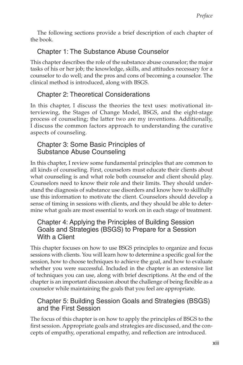The following sections provide a brief description of each chapter of the book.

## Chapter 1: The Substance Abuse Counselor

This chapter describes the role of the substance abuse counselor; the major tasks of his or her job; the knowledge, skills, and attitudes necessary for a counselor to do well; and the pros and cons of becoming a counselor. The clinical method is introduced, along with BSGS.

## Chapter 2: Theoretical Considerations

In this chapter, I discuss the theories the text uses: motivational interviewing, the Stages of Change Model, BSGS, and the eight-stage process of counseling; the latter two are my inventions. Additionally, I discuss the common factors approach to understanding the curative aspects of counseling.

#### Chapter 3: Some Basic Principles of Substance Abuse Counseling

In this chapter, I review some fundamental principles that are common to all kinds of counseling. First, counselors must educate their clients about what counseling is and what role both counselor and client should play. Counselors need to know their role and their limits. They should understand the diagnosis of substance use disorders and know how to skillfully use this information to motivate the client. Counselors should develop a sense of timing in sessions with clients, and they should be able to determine what goals are most essential to work on in each stage of treatment.

#### Chapter 4: Applying the Principles of Building Session Goals and Strategies (BSGS) to Prepare for a Session With a Client

This chapter focuses on how to use BSGS principles to organize and focus sessions with clients. You will learn how to determine a specific goal for the session, how to choose techniques to achieve the goal, and how to evaluate whether you were successful. Included in the chapter is an extensive list of techniques you can use, along with brief descriptions. At the end of the chapter is an important discussion about the challenge of being flexible as a counselor while maintaining the goals that you feel are appropriate.

## Chapter 5: Building Session Goals and Strategies (BSGS) and the First Session

The focus of this chapter is on how to apply the principles of BSGS to the first session. Appropriate goals and strategies are discussed, and the concepts of empathy, operational empathy, and reflection are introduced.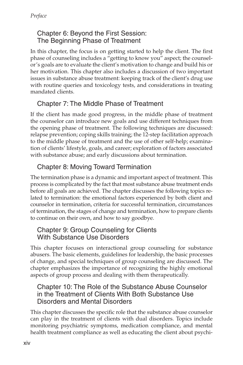## Chapter 6: Beyond the First Session: The Beginning Phase of Treatment

In this chapter, the focus is on getting started to help the client. The first phase of counseling includes a "getting to know you" aspect; the counselor's goals are to evaluate the client's motivation to change and build his or her motivation. This chapter also includes a discussion of two important issues in substance abuse treatment: keeping track of the client's drug use with routine queries and toxicology tests, and considerations in treating mandated clients.

## Chapter 7: The Middle Phase of Treatment

If the client has made good progress, in the middle phase of treatment the counselor can introduce new goals and use different techniques from the opening phase of treatment. The following techniques are discussed: relapse prevention; coping skills training; the 12-step facilitation approach to the middle phase of treatment and the use of other self-help; examination of clients' lifestyle, goals, and career; exploration of factors associated with substance abuse; and early discussions about termination.

## Chapter 8: Moving Toward Termination

The termination phase is a dynamic and important aspect of treatment. This process is complicated by the fact that most substance abuse treatment ends before all goals are achieved. The chapter discusses the following topics related to termination: the emotional factors experienced by both client and counselor in termination, criteria for successful termination, circumstances of termination, the stages of change and termination, how to prepare clients to continue on their own, and how to say goodbye.

#### Chapter 9: Group Counseling for Clients With Substance Use Disorders

This chapter focuses on interactional group counseling for substance abusers. The basic elements, guidelines for leadership, the basic processes of change, and special techniques of group counseling are discussed. The chapter emphasizes the importance of recognizing the highly emotional aspects of group process and dealing with them therapeutically.

#### Chapter 10: The Role of the Substance Abuse Counselor in the Treatment of Clients With Both Substance Use Disorders and Mental Disorders

This chapter discusses the specific role that the substance abuse counselor can play in the treatment of clients with dual disorders. Topics include monitoring psychiatric symptoms, medication compliance, and mental health treatment compliance as well as educating the client about psychi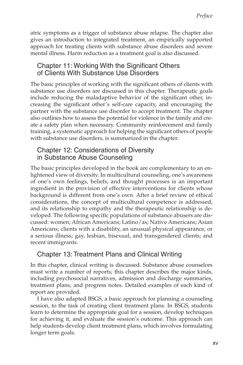atric symptoms as a trigger of substance abuse relapse. The chapter also gives an introduction to integrated treatment, an empirically supported approach for treating clients with substance abuse disorders and severe mental illness. Harm reduction as a treatment goal is also discussed.

#### Chapter 11: Working With the Significant Others of Clients With Substance Use Disorders

The basic principles of working with the significant others of clients with substance use disorders are discussed in this chapter. Therapeutic goals include reducing the maladaptive behavior of the significant other, increasing the significant other's self-care capacity, and encouraging the partner with the substance use disorder to accept treatment. The chapter also outlines how to assess the potential for violence in the family and create a safety plan when necessary. Community reinforcement and family training, a systematic approach for helping the significant others of people with substance use disorders, is summarized in the chapter.

#### Chapter 12: Considerations of Diversity in Substance Abuse Counseling

The basic principles developed in the book are complementary to an enlightened view of diversity. In multicultural counseling, one's awareness of one's own feelings, beliefs, and thought processes is an important ingredient in the provision of effective interventions for clients whose background is different from one's own. After a brief review of ethical considerations, the concept of multicultural competence is addressed, and its relationship to empathy and the therapeutic relationship is developed. The following specific populations of substance abusers are discussed: women; African Americans; Latino/as; Native Americans; Asian Americans; clients with a disability, an unusual physical appearance, or a serious illness; gay, lesbian, bisexual, and transgendered clients; and recent immigrants.

#### Chapter 13: Treatment Plans and Clinical Writing

In this chapter, clinical writing is discussed. Substance abuse counselors must write a number of reports; this chapter describes the major kinds, including psychosocial narratives, admission and discharge summaries, treatment plans, and progress notes. Detailed examples of each kind of report are provided.

I have also adapted BSGS, a basic approach for planning a counseling session, to the task of creating client treatment plans. In BSGS, students learn to determine the appropriate goal for a session, develop techniques for achieving it, and evaluate the session's outcome. This approach can help students develop client treatment plans, which involves formulating longer term goals.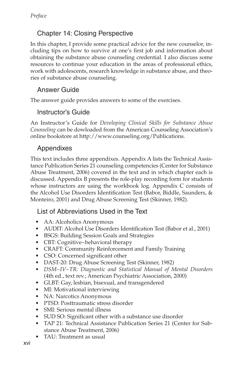## Chapter 14: Closing Perspective

In this chapter, I provide some practical advice for the new counselor, including tips on how to survive at one's first job and information about obtaining the substance abuse counseling credential. I also discuss some resources to continue your education in the areas of professional ethics, work with adolescents, research knowledge in substance abuse, and theories of substance abuse counseling.

## Answer Guide

The answer guide provides answers to some of the exercises.

## Instructor's Guide

An Instructor's Guide for *Developing Clinical Skills for Substance Abuse Counseling* can be dowloaded from the American Counseling Association's online bookstore at http://www.counseling.org/Publications.

## Appendixes

This text includes three appendixes. Appendix A lists the Technical Assistance Publication Series 21 counseling competencies (Center for Substance Abuse Treatment, 2006) covered in the text and in which chapter each is discussed. Appendix B presents the role-play recording form for students whose instructors are using the workbook log. Appendix C consists of the Alcohol Use Disorders Identification Test (Babor, Biddle, Saunders, & Monteiro, 2001) and Drug Abuse Screening Test (Skinner, 1982).

## List of Abbreviations Used in the Text

- AA: Alcoholics Anonymous
- AUDIT: Alcohol Use Disorders Identification Test (Babor et al., 2001)
- BSGS: Building Session Goals and Strategies
- CBT: Cognitive−behavioral therapy
- CRAFT: Community Reinforcement and Family Training
- CSO: Concerned significant other
- DAST-20: Drug Abuse Screening Test (Skinner, 1982)
- *DSM*−*IV*−*TR: Diagnostic and Statistical Manual of Mental Disorders* (4th ed., text rev.; American Psychiatric Association, 2000)
- GLBT: Gay, lesbian, bisexual, and transgendered
- MI: Motivational interviewing
- NA: Narcotics Anonymous
- PTSD: Posttraumatic stress disorder
- SMI: Serious mental illness
- SUD SO: Significant other with a substance use disorder
- TAP 21: Technical Assistance Publication Series 21 (Center for Substance Abuse Treatment, 2006)
- TAU: Treatment as usual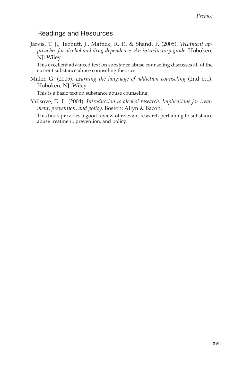#### Readings and Resources

Jarvis, T. J., Tebbutt, J., Mattick, R. P., & Shand, F. (2005). *Treatment approaches for alcohol and drug dependence: An introductory guide.* Hoboken, NJ: Wiley.

This excellent advanced text on substance abuse counseling discusses all of the current substance abuse counseling theories.

Miller, G. (2005). *Learning the language of addiction counseling* (2nd ed.). Hoboken, NJ: Wiley.

This is a basic text on substance abuse counseling.

Yalisove, D. L. (2004). *Introduction to alcohol research: Implications for treatment, prevention, and policy.* Boston: Allyn & Bacon.

This book provides a good review of relevant research pertaining to substance abuse treatment, prevention, and policy.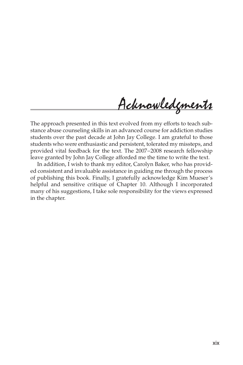Acknowledgments

The approach presented in this text evolved from my efforts to teach substance abuse counseling skills in an advanced course for addiction studies students over the past decade at John Jay College. I am grateful to those students who were enthusiastic and persistent, tolerated my missteps, and provided vital feedback for the text. The 2007−2008 research fellowship leave granted by John Jay College afforded me the time to write the text.

In addition, I wish to thank my editor, Carolyn Baker, who has provided consistent and invaluable assistance in guiding me through the process of publishing this book. Finally, I gratefully acknowledge Kim Mueser's helpful and sensitive critique of Chapter 10. Although I incorporated many of his suggestions, I take sole responsibility for the views expressed in the chapter.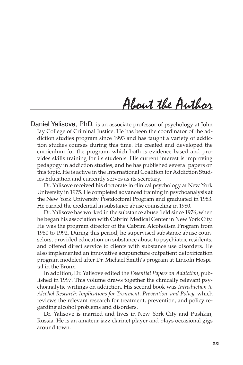## About the Author

Daniel Yalisove, PhD, is an associate professor of psychology at John Jay College of Criminal Justice. He has been the coordinator of the addiction studies program since 1993 and has taught a variety of addiction studies courses during this time. He created and developed the curriculum for the program, which both is evidence based and provides skills training for its students. His current interest is improving pedagogy in addiction studies, and he has published several papers on this topic. He is active in the International Coalition for Addiction Studies Education and currently serves as its secretary.

 Dr. Yalisove received his doctorate in clinical psychology at New York University in 1975. He completed advanced training in psychoanalysis at the New York University Postdoctoral Program and graduated in 1983. He earned the credential in substance abuse counseling in 1980.

 Dr. Yalisove has worked in the substance abuse field since 1976, when he began his association with Cabrini Medical Center in New York City. He was the program director of the Cabrini Alcoholism Program from 1980 to 1992. During this period, he supervised substance abuse counselors, provided education on substance abuse to psychiatric residents, and offered direct service to clients with substance use disorders. He also implemented an innovative acupuncture outpatient detoxification program modeled after Dr. Michael Smith's program at Lincoln Hospital in the Bronx.

 In addition, Dr. Yalisove edited the *Essential Papers on Addiction,* published in 1997. This volume draws together the clinically relevant psychoanalytic writings on addiction. His second book was *Introduction to Alcohol Research: Implications for Treatment, Prevention, and Policy,* which reviews the relevant research for treatment, prevention, and policy regarding alcohol problems and disorders.

 Dr. Yalisove is married and lives in New York City and Pushkin, Russia. He is an amateur jazz clarinet player and plays occasional gigs around town.